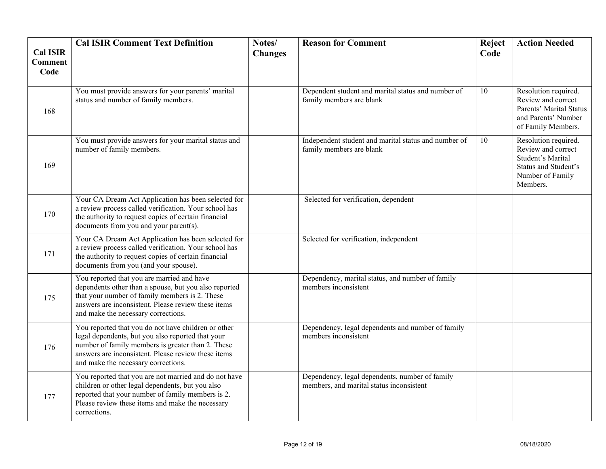| <b>Cal ISIR</b><br><b>Comment</b><br>Code | <b>Cal ISIR Comment Text Definition</b>                                                                                                                                                                                                                     | Notes/<br><b>Changes</b> | <b>Reason for Comment</b>                                                                  | Reject<br>Code | <b>Action Needed</b>                                                                                                    |
|-------------------------------------------|-------------------------------------------------------------------------------------------------------------------------------------------------------------------------------------------------------------------------------------------------------------|--------------------------|--------------------------------------------------------------------------------------------|----------------|-------------------------------------------------------------------------------------------------------------------------|
| 168                                       | You must provide answers for your parents' marital<br>status and number of family members.                                                                                                                                                                  |                          | Dependent student and marital status and number of<br>family members are blank             | 10             | Resolution required.<br>Review and correct<br>Parents' Marital Status<br>and Parents' Number<br>of Family Members.      |
| 169                                       | You must provide answers for your marital status and<br>number of family members.                                                                                                                                                                           |                          | Independent student and marital status and number of<br>family members are blank           | 10             | Resolution required.<br>Review and correct<br>Student's Marital<br>Status and Student's<br>Number of Family<br>Members. |
| 170                                       | Your CA Dream Act Application has been selected for<br>a review process called verification. Your school has<br>the authority to request copies of certain financial<br>documents from you and your parent(s).                                              |                          | Selected for verification, dependent                                                       |                |                                                                                                                         |
| 171                                       | Your CA Dream Act Application has been selected for<br>a review process called verification. Your school has<br>the authority to request copies of certain financial<br>documents from you (and your spouse).                                               |                          | Selected for verification, independent                                                     |                |                                                                                                                         |
| 175                                       | You reported that you are married and have<br>dependents other than a spouse, but you also reported<br>that your number of family members is 2. These<br>answers are inconsistent. Please review these items<br>and make the necessary corrections.         |                          | Dependency, marital status, and number of family<br>members inconsistent                   |                |                                                                                                                         |
| 176                                       | You reported that you do not have children or other<br>legal dependents, but you also reported that your<br>number of family members is greater than 2. These<br>answers are inconsistent. Please review these items<br>and make the necessary corrections. |                          | Dependency, legal dependents and number of family<br>members inconsistent                  |                |                                                                                                                         |
| 177                                       | You reported that you are not married and do not have<br>children or other legal dependents, but you also<br>reported that your number of family members is 2.<br>Please review these items and make the necessary<br>corrections.                          |                          | Dependency, legal dependents, number of family<br>members, and marital status inconsistent |                |                                                                                                                         |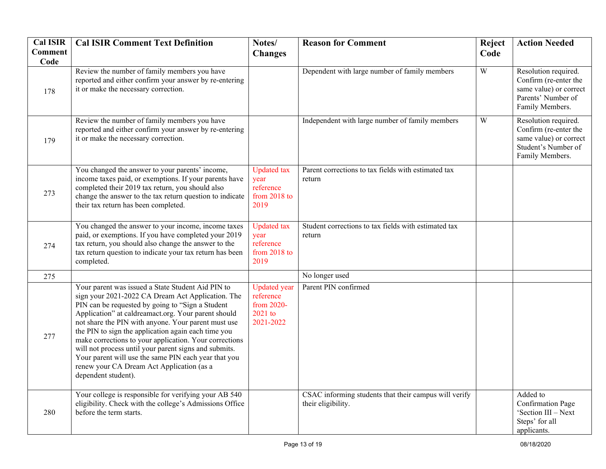| <b>Cal ISIR</b>        | <b>Cal ISIR Comment Text Definition</b>                                                                                                                                                                                                                                                                                                                                                                                                                                                                                                                                         | Notes/                                                                 | <b>Reason for Comment</b>                                                   | Reject         | <b>Action Needed</b>                                                                                              |
|------------------------|---------------------------------------------------------------------------------------------------------------------------------------------------------------------------------------------------------------------------------------------------------------------------------------------------------------------------------------------------------------------------------------------------------------------------------------------------------------------------------------------------------------------------------------------------------------------------------|------------------------------------------------------------------------|-----------------------------------------------------------------------------|----------------|-------------------------------------------------------------------------------------------------------------------|
| <b>Comment</b><br>Code |                                                                                                                                                                                                                                                                                                                                                                                                                                                                                                                                                                                 | <b>Changes</b>                                                         |                                                                             | Code           |                                                                                                                   |
| 178                    | Review the number of family members you have<br>reported and either confirm your answer by re-entering<br>it or make the necessary correction.                                                                                                                                                                                                                                                                                                                                                                                                                                  |                                                                        | Dependent with large number of family members                               | $\overline{W}$ | Resolution required.<br>Confirm (re-enter the<br>same value) or correct<br>Parents' Number of<br>Family Members.  |
| 179                    | Review the number of family members you have<br>reported and either confirm your answer by re-entering<br>it or make the necessary correction.                                                                                                                                                                                                                                                                                                                                                                                                                                  |                                                                        | Independent with large number of family members                             | W              | Resolution required.<br>Confirm (re-enter the<br>same value) or correct<br>Student's Number of<br>Family Members. |
| 273                    | You changed the answer to your parents' income,<br>income taxes paid, or exemptions. If your parents have<br>completed their 2019 tax return, you should also<br>change the answer to the tax return question to indicate<br>their tax return has been completed.                                                                                                                                                                                                                                                                                                               | <b>Updated</b> tax<br>year<br>reference<br>from 2018 to<br>2019        | Parent corrections to tax fields with estimated tax<br>return               |                |                                                                                                                   |
| 274                    | You changed the answer to your income, income taxes<br>paid, or exemptions. If you have completed your 2019<br>tax return, you should also change the answer to the<br>tax return question to indicate your tax return has been<br>completed.                                                                                                                                                                                                                                                                                                                                   | <b>Updated</b> tax<br>year<br>reference<br>from 2018 to<br>2019        | Student corrections to tax fields with estimated tax<br>return              |                |                                                                                                                   |
| 275                    |                                                                                                                                                                                                                                                                                                                                                                                                                                                                                                                                                                                 |                                                                        | No longer used                                                              |                |                                                                                                                   |
| 277                    | Your parent was issued a State Student Aid PIN to<br>sign your 2021-2022 CA Dream Act Application. The<br>PIN can be requested by going to "Sign a Student"<br>Application" at caldreamact.org. Your parent should<br>not share the PIN with anyone. Your parent must use<br>the PIN to sign the application again each time you<br>make corrections to your application. Your corrections<br>will not process until your parent signs and submits.<br>Your parent will use the same PIN each year that you<br>renew your CA Dream Act Application (as a<br>dependent student). | <b>Updated</b> year<br>reference<br>from 2020-<br>2021 to<br>2021-2022 | Parent PIN confirmed                                                        |                |                                                                                                                   |
| 280                    | Your college is responsible for verifying your AB 540<br>eligibility. Check with the college's Admissions Office<br>before the term starts.                                                                                                                                                                                                                                                                                                                                                                                                                                     |                                                                        | CSAC informing students that their campus will verify<br>their eligibility. |                | Added to<br><b>Confirmation Page</b><br>'Section III - Next<br>Steps' for all<br>applicants.                      |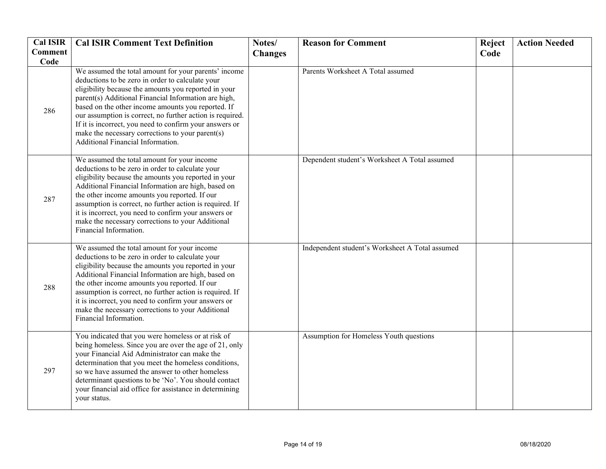| <b>Cal ISIR</b><br><b>Comment</b> | <b>Cal ISIR Comment Text Definition</b>                                                                                                                                                                                                                                                                                                                                                                                                                                                         | Notes/<br><b>Changes</b> | <b>Reason for Comment</b>                       | Reject<br>Code | <b>Action Needed</b> |
|-----------------------------------|-------------------------------------------------------------------------------------------------------------------------------------------------------------------------------------------------------------------------------------------------------------------------------------------------------------------------------------------------------------------------------------------------------------------------------------------------------------------------------------------------|--------------------------|-------------------------------------------------|----------------|----------------------|
| Code                              |                                                                                                                                                                                                                                                                                                                                                                                                                                                                                                 |                          |                                                 |                |                      |
| 286                               | We assumed the total amount for your parents' income<br>deductions to be zero in order to calculate your<br>eligibility because the amounts you reported in your<br>parent(s) Additional Financial Information are high,<br>based on the other income amounts you reported. If<br>our assumption is correct, no further action is required.<br>If it is incorrect, you need to confirm your answers or<br>make the necessary corrections to your parent(s)<br>Additional Financial Information. |                          | Parents Worksheet A Total assumed               |                |                      |
| 287                               | We assumed the total amount for your income<br>deductions to be zero in order to calculate your<br>eligibility because the amounts you reported in your<br>Additional Financial Information are high, based on<br>the other income amounts you reported. If our<br>assumption is correct, no further action is required. If<br>it is incorrect, you need to confirm your answers or<br>make the necessary corrections to your Additional<br>Financial Information.                              |                          | Dependent student's Worksheet A Total assumed   |                |                      |
| 288                               | We assumed the total amount for your income<br>deductions to be zero in order to calculate your<br>eligibility because the amounts you reported in your<br>Additional Financial Information are high, based on<br>the other income amounts you reported. If our<br>assumption is correct, no further action is required. If<br>it is incorrect, you need to confirm your answers or<br>make the necessary corrections to your Additional<br>Financial Information.                              |                          | Independent student's Worksheet A Total assumed |                |                      |
| 297                               | You indicated that you were homeless or at risk of<br>being homeless. Since you are over the age of 21, only<br>your Financial Aid Administrator can make the<br>determination that you meet the homeless conditions,<br>so we have assumed the answer to other homeless<br>determinant questions to be 'No'. You should contact<br>your financial aid office for assistance in determining<br>your status.                                                                                     |                          | Assumption for Homeless Youth questions         |                |                      |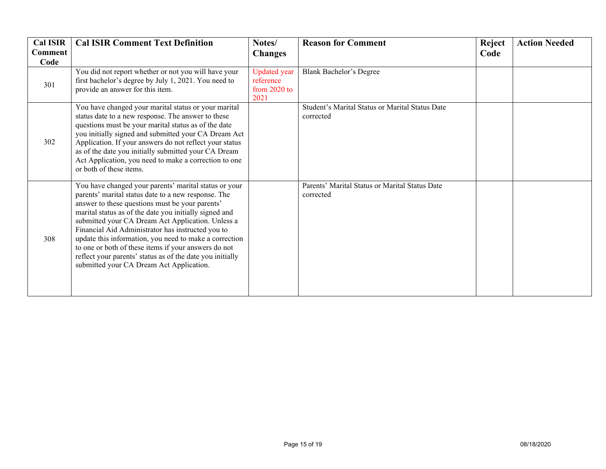| <b>Cal ISIR</b><br>Comment<br>Code | <b>Cal ISIR Comment Text Definition</b>                                                                                                                                                                                                                                                                                                                                                                                                                                                                                                                        | Notes/<br><b>Changes</b>                                 | <b>Reason for Comment</b>                                    | <b>Reject</b><br>Code | <b>Action Needed</b> |
|------------------------------------|----------------------------------------------------------------------------------------------------------------------------------------------------------------------------------------------------------------------------------------------------------------------------------------------------------------------------------------------------------------------------------------------------------------------------------------------------------------------------------------------------------------------------------------------------------------|----------------------------------------------------------|--------------------------------------------------------------|-----------------------|----------------------|
| 301                                | You did not report whether or not you will have your<br>first bachelor's degree by July 1, 2021. You need to<br>provide an answer for this item.                                                                                                                                                                                                                                                                                                                                                                                                               | <b>Updated</b> year<br>reference<br>from 2020 to<br>2021 | <b>Blank Bachelor's Degree</b>                               |                       |                      |
| 302                                | You have changed your marital status or your marital<br>status date to a new response. The answer to these<br>questions must be your marital status as of the date<br>you initially signed and submitted your CA Dream Act<br>Application. If your answers do not reflect your status<br>as of the date you initially submitted your CA Dream<br>Act Application, you need to make a correction to one<br>or both of these items.                                                                                                                              |                                                          | Student's Marital Status or Marital Status Date<br>corrected |                       |                      |
| 308                                | You have changed your parents' marital status or your<br>parents' marital status date to a new response. The<br>answer to these questions must be your parents'<br>marital status as of the date you initially signed and<br>submitted your CA Dream Act Application. Unless a<br>Financial Aid Administrator has instructed you to<br>update this information, you need to make a correction<br>to one or both of these items if your answers do not<br>reflect your parents' status as of the date you initially<br>submitted your CA Dream Act Application. |                                                          | Parents' Marital Status or Marital Status Date<br>corrected  |                       |                      |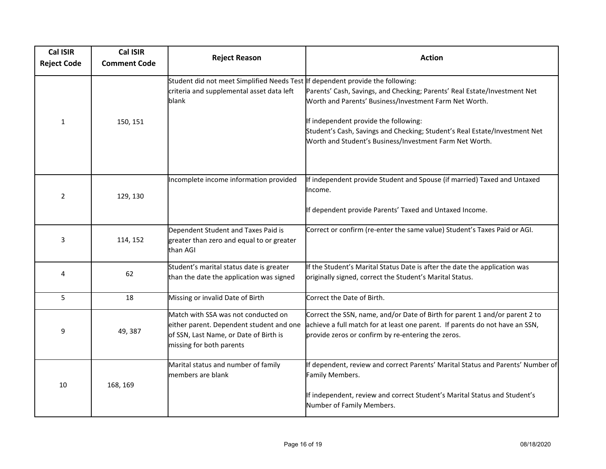| <b>Cal ISIR</b><br><b>Reject Code</b> | <b>Cal ISIR</b><br><b>Comment Code</b> | <b>Reject Reason</b>                                                                                                                                  | <b>Action</b>                                                                                                                                                                                                                                                                                                         |
|---------------------------------------|----------------------------------------|-------------------------------------------------------------------------------------------------------------------------------------------------------|-----------------------------------------------------------------------------------------------------------------------------------------------------------------------------------------------------------------------------------------------------------------------------------------------------------------------|
| $\mathbf{1}$                          | 150, 151                               | Student did not meet Simplified Needs Test If dependent provide the following:<br>criteria and supplemental asset data left<br>blank                  | Parents' Cash, Savings, and Checking; Parents' Real Estate/Investment Net<br>Worth and Parents' Business/Investment Farm Net Worth.<br>If independent provide the following:<br>Student's Cash, Savings and Checking; Student's Real Estate/Investment Net<br>Worth and Student's Business/Investment Farm Net Worth. |
| $\overline{2}$                        | 129, 130                               | Incomplete income information provided                                                                                                                | If independent provide Student and Spouse (if married) Taxed and Untaxed<br>Income.<br>If dependent provide Parents' Taxed and Untaxed Income.                                                                                                                                                                        |
| 3                                     | 114, 152                               | Dependent Student and Taxes Paid is<br>greater than zero and equal to or greater<br>than AGI                                                          | Correct or confirm (re-enter the same value) Student's Taxes Paid or AGI.                                                                                                                                                                                                                                             |
| 4                                     | 62                                     | Student's marital status date is greater<br>than the date the application was signed                                                                  | If the Student's Marital Status Date is after the date the application was<br>originally signed, correct the Student's Marital Status.                                                                                                                                                                                |
| 5                                     | 18                                     | Missing or invalid Date of Birth                                                                                                                      | Correct the Date of Birth.                                                                                                                                                                                                                                                                                            |
| 9                                     | 49, 387                                | Match with SSA was not conducted on<br>either parent. Dependent student and one<br>of SSN, Last Name, or Date of Birth is<br>missing for both parents | Correct the SSN, name, and/or Date of Birth for parent 1 and/or parent 2 to<br>achieve a full match for at least one parent. If parents do not have an SSN,<br>provide zeros or confirm by re-entering the zeros.                                                                                                     |
| 10                                    | 168, 169                               | Marital status and number of family<br>members are blank                                                                                              | If dependent, review and correct Parents' Marital Status and Parents' Number of<br>Family Members.<br>If independent, review and correct Student's Marital Status and Student's<br>Number of Family Members.                                                                                                          |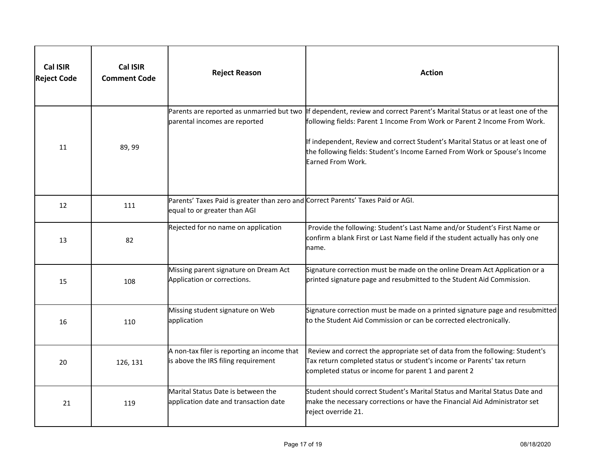| <b>Cal ISIR</b><br><b>Reject Code</b> | <b>Cal ISIR</b><br><b>Comment Code</b> | <b>Reject Reason</b>                                                                                             | <b>Action</b>                                                                                                                                                                                                                                                                                                                                     |
|---------------------------------------|----------------------------------------|------------------------------------------------------------------------------------------------------------------|---------------------------------------------------------------------------------------------------------------------------------------------------------------------------------------------------------------------------------------------------------------------------------------------------------------------------------------------------|
| 11                                    | 89, 99                                 | Parents are reported as unmarried but two<br>parental incomes are reported                                       | If dependent, review and correct Parent's Marital Status or at least one of the<br>following fields: Parent 1 Income From Work or Parent 2 Income From Work.<br>If independent, Review and correct Student's Marital Status or at least one of<br>the following fields: Student's Income Earned From Work or Spouse's Income<br>Earned From Work. |
| 12                                    | 111                                    | Parents' Taxes Paid is greater than zero and Correct Parents' Taxes Paid or AGI.<br>equal to or greater than AGI |                                                                                                                                                                                                                                                                                                                                                   |
| 13                                    | 82                                     | Rejected for no name on application                                                                              | Provide the following: Student's Last Name and/or Student's First Name or<br>confirm a blank First or Last Name field if the student actually has only one<br>name.                                                                                                                                                                               |
| 15                                    | 108                                    | Missing parent signature on Dream Act<br>Application or corrections.                                             | Signature correction must be made on the online Dream Act Application or a<br>printed signature page and resubmitted to the Student Aid Commission.                                                                                                                                                                                               |
| 16                                    | 110                                    | Missing student signature on Web<br>application                                                                  | Signature correction must be made on a printed signature page and resubmitted<br>to the Student Aid Commission or can be corrected electronically.                                                                                                                                                                                                |
| 20                                    | 126, 131                               | A non-tax filer is reporting an income that<br>is above the IRS filing requirement                               | Review and correct the appropriate set of data from the following: Student's<br>Tax return completed status or student's income or Parents' tax return<br>completed status or income for parent 1 and parent 2                                                                                                                                    |
| 21                                    | 119                                    | Marital Status Date is between the<br>application date and transaction date                                      | Student should correct Student's Marital Status and Marital Status Date and<br>make the necessary corrections or have the Financial Aid Administrator set<br>reject override 21.                                                                                                                                                                  |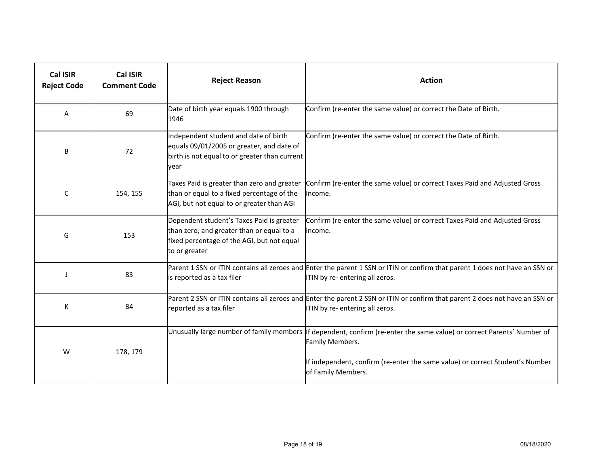| <b>Cal ISIR</b><br><b>Reject Code</b> | Cal ISIR<br><b>Comment Code</b> | <b>Reject Reason</b>                                                                                                                                  | <b>Action</b>                                                                                                                                                                                                                                    |
|---------------------------------------|---------------------------------|-------------------------------------------------------------------------------------------------------------------------------------------------------|--------------------------------------------------------------------------------------------------------------------------------------------------------------------------------------------------------------------------------------------------|
| A                                     | 69                              | Date of birth year equals 1900 through<br>1946                                                                                                        | Confirm (re-enter the same value) or correct the Date of Birth.                                                                                                                                                                                  |
| B                                     | 72                              | Independent student and date of birth<br>equals 09/01/2005 or greater, and date of<br>birth is not equal to or greater than current<br>year           | Confirm (re-enter the same value) or correct the Date of Birth.                                                                                                                                                                                  |
| C                                     | 154, 155                        | Taxes Paid is greater than zero and greater<br>than or equal to a fixed percentage of the<br>AGI, but not equal to or greater than AGI                | Confirm (re-enter the same value) or correct Taxes Paid and Adjusted Gross<br>Income.                                                                                                                                                            |
| G                                     | 153                             | Dependent student's Taxes Paid is greater<br>than zero, and greater than or equal to a<br>fixed percentage of the AGI, but not equal<br>to or greater | Confirm (re-enter the same value) or correct Taxes Paid and Adjusted Gross<br>Income.                                                                                                                                                            |
| $\mathbf{I}$                          | 83                              | is reported as a tax filer                                                                                                                            | Parent 1 SSN or ITIN contains all zeroes and Enter the parent 1 SSN or ITIN or confirm that parent 1 does not have an SSN or<br>ITIN by re- entering all zeros.                                                                                  |
| К                                     | 84                              | reported as a tax filer                                                                                                                               | Parent 2 SSN or ITIN contains all zeroes and Enter the parent 2 SSN or ITIN or confirm that parent 2 does not have an SSN or<br>ITIN by re- entering all zeros.                                                                                  |
| W                                     | 178, 179                        |                                                                                                                                                       | Unusually large number of family members If dependent, confirm (re-enter the same value) or correct Parents' Number of<br>Family Members.<br>If independent, confirm (re-enter the same value) or correct Student's Number<br>of Family Members. |